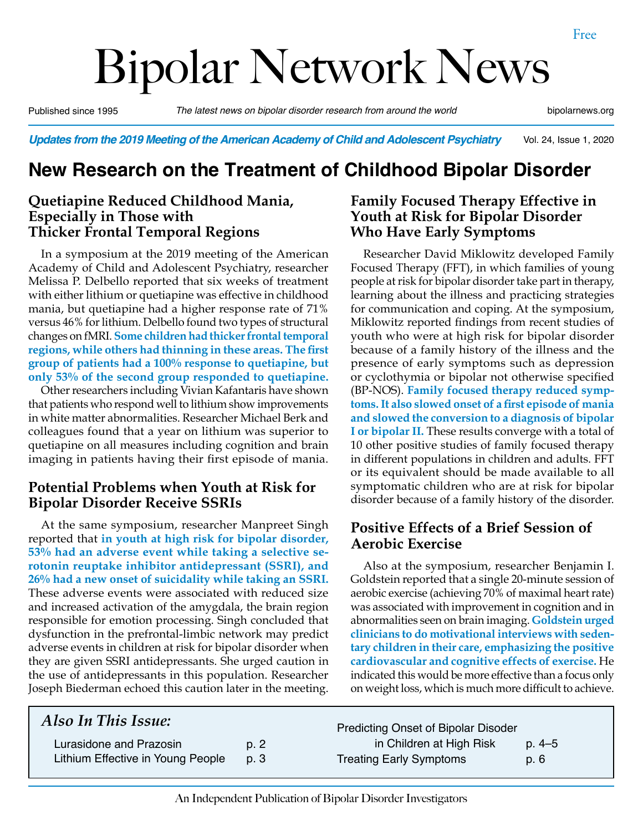# Bipolar Network News

Published since 1995 *The latest news on bipolar disorder research from around the world* bipolarnews.org

Vol. 24, Issue 1, 2020 *Updates from the 2019 Meeting of the American Academy of Child and Adolescent Psychiatry*

## **New Research on the Treatment of Childhood Bipolar Disorder**

#### **Quetiapine Reduced Childhood Mania, Especially in Those with Thicker Frontal Temporal Regions**

In a symposium at the 2019 meeting of the American Academy of Child and Adolescent Psychiatry, researcher Melissa P. Delbello reported that six weeks of treatment with either lithium or quetiapine was effective in childhood mania, but quetiapine had a higher response rate of 71% versus 46% for lithium. Delbello found two types of structural changes on fMRI. **Some children had thicker frontal temporal regions, while others had thinning in these areas. The first group of patients had a 100% response to quetiapine, but only 53% of the second group responded to quetiapine.** 

Other researchers including Vivian Kafantaris have shown that patients who respond well to lithium show improvements in white matter abnormalities. Researcher Michael Berk and colleagues found that a year on lithium was superior to quetiapine on all measures including cognition and brain imaging in patients having their first episode of mania.

#### **Potential Problems when Youth at Risk for Bipolar Disorder Receive SSRIs**

At the same symposium, researcher Manpreet Singh reported that **in youth at high risk for bipolar disorder, 53% had an adverse event while taking a selective serotonin reuptake inhibitor antidepressant (SSRI), and 26% had a new onset of suicidality while taking an SSRI.** These adverse events were associated with reduced size and increased activation of the amygdala, the brain region responsible for emotion processing. Singh concluded that dysfunction in the prefrontal-limbic network may predict adverse events in children at risk for bipolar disorder when they are given SSRI antidepressants. She urged caution in the use of antidepressants in this population. Researcher Joseph Biederman echoed this caution later in the meeting.

#### **Family Focused Therapy Effective in Youth at Risk for Bipolar Disorder Who Have Early Symptoms**

Researcher David Miklowitz developed Family Focused Therapy (FFT), in which families of young people at risk for bipolar disorder take part in therapy, learning about the illness and practicing strategies for communication and coping. At the symposium, Miklowitz reported findings from recent studies of youth who were at high risk for bipolar disorder because of a family history of the illness and the presence of early symptoms such as depression or cyclothymia or bipolar not otherwise specified (BP-NOS). **Family focused therapy reduced symptoms. It also slowed onset of a first episode of mania and slowed the conversion to a diagnosis of bipolar I or bipolar II.** These results converge with a total of 10 other positive studies of family focused therapy in different populations in children and adults. FFT or its equivalent should be made available to all symptomatic children who are at risk for bipolar disorder because of a family history of the disorder.

#### **Positive Effects of a Brief Session of Aerobic Exercise**

Also at the symposium, researcher Benjamin I. Goldstein reported that a single 20-minute session of aerobic exercise (achieving 70% of maximal heart rate) was associated with improvement in cognition and in abnormalities seen on brain imaging. **Goldstein urged clinicians to do motivational interviews with sedentary children in their care, emphasizing the positive cardiovascular and cognitive effects of exercise.** He indicated this would be more effective than a focus only on weight loss, which is much more difficult to achieve.

#### *Also In This Issue:* Lurasidone and Prazosin b. 2 Lithium Effective in Young People p. 3 Predicting Onset of Bipolar Disoder in Children at High Risk p. 4–5 Treating Early Symptoms b. 6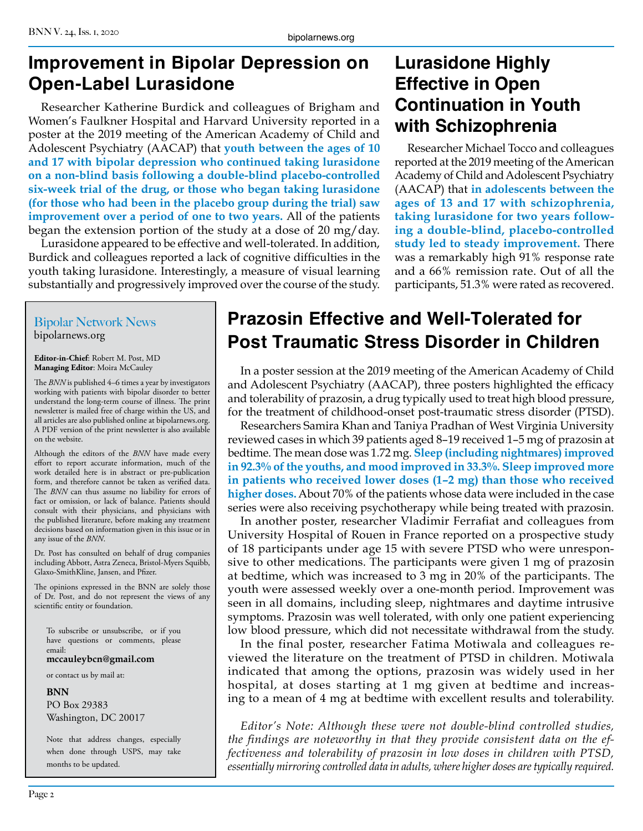## **Improvement in Bipolar Depression on Open-Label Lurasidone**

Researcher Katherine Burdick and colleagues of Brigham and Women's Faulkner Hospital and Harvard University reported in a poster at the 2019 meeting of the American Academy of Child and Adolescent Psychiatry (AACAP) that **youth between the ages of 10 and 17 with bipolar depression who continued taking lurasidone on a non-blind basis following a double-blind placebo-controlled six-week trial of the drug, or those who began taking lurasidone (for those who had been in the placebo group during the trial) saw improvement over a period of one to two years.** All of the patients began the extension portion of the study at a dose of 20 mg/day.

Lurasidone appeared to be effective and well-tolerated. In addition, Burdick and colleagues reported a lack of cognitive difficulties in the youth taking lurasidone. Interestingly, a measure of visual learning substantially and progressively improved over the course of the study.

## **Lurasidone Highly Effective in Open Continuation in Youth with Schizophrenia**

Researcher Michael Tocco and colleagues reported at the 2019 meeting of the American Academy of Child and Adolescent Psychiatry (AACAP) that **in adolescents between the ages of 13 and 17 with schizophrenia, taking lurasidone for two years following a double-blind, placebo-controlled study led to steady improvement.** There was a remarkably high 91% response rate and a 66% remission rate. Out of all the participants, 51.3% were rated as recovered.

#### Bipolar Network News bipolarnews.org

**Editor-in-Chief**: Robert M. Post, MD **Managing Editor**: Moira McCauley

The *BNN* is published 4–6 times a year by investigators working with patients with bipolar disorder to better understand the long-term course of illness. The print newsletter is mailed free of charge within the US, and all articles are also published online at bipolarnews.org. A PDF version of the print newsletter is also available on the website.

Although the editors of the *BNN* have made every effort to report accurate information, much of the work detailed here is in abstract or pre-publication form, and therefore cannot be taken as verified data. The *BNN* can thus assume no liability for errors of fact or omission, or lack of balance. Patients should consult with their physicians, and physicians with the published literature, before making any treatment decisions based on information given in this issue or in any issue of the *BNN*.

Dr. Post has consulted on behalf of drug companies including Abbott, Astra Zeneca, Bristol-Myers Squibb, Glaxo-SmithKline, Jansen, and Pfizer.

The opinions expressed in the BNN are solely those of Dr. Post, and do not represent the views of any scientific entity or foundation.

To subscribe or unsubscribe, or if you have questions or comments, please email:

**mccauleybcn@gmail.com**

or contact us by mail at:

**BNN**

PO Box 29383 Washington, DC 20017

Note that address changes, especially when done through USPS, may take months to be updated.

## **Prazosin Effective and Well-Tolerated for Post Traumatic Stress Disorder in Children**

In a poster session at the 2019 meeting of the American Academy of Child and Adolescent Psychiatry (AACAP), three posters highlighted the efficacy and tolerability of prazosin, a drug typically used to treat high blood pressure, for the treatment of childhood-onset post-traumatic stress disorder (PTSD).

Researchers Samira Khan and Taniya Pradhan of West Virginia University reviewed cases in which 39 patients aged 8–19 received 1–5 mg of prazosin at bedtime. The mean dose was 1.72 mg. **Sleep (including nightmares) improved in 92.3% of the youths, and mood improved in 33.3%. Sleep improved more in patients who received lower doses (1–2 mg) than those who received higher doses.** About 70% of the patients whose data were included in the case series were also receiving psychotherapy while being treated with prazosin.

In another poster, researcher Vladimir Ferrafiat and colleagues from University Hospital of Rouen in France reported on a prospective study of 18 participants under age 15 with severe PTSD who were unresponsive to other medications. The participants were given 1 mg of prazosin at bedtime, which was increased to 3 mg in 20% of the participants. The youth were assessed weekly over a one-month period. Improvement was seen in all domains, including sleep, nightmares and daytime intrusive symptoms. Prazosin was well tolerated, with only one patient experiencing low blood pressure, which did not necessitate withdrawal from the study.

In the final poster, researcher Fatima Motiwala and colleagues reviewed the literature on the treatment of PTSD in children. Motiwala indicated that among the options, prazosin was widely used in her hospital, at doses starting at 1 mg given at bedtime and increasing to a mean of 4 mg at bedtime with excellent results and tolerability.

*Editor's Note: Although these were not double-blind controlled studies, the findings are noteworthy in that they provide consistent data on the effectiveness and tolerability of prazosin in low doses in children with PTSD, essentially mirroring controlled data in adults, where higher doses are typically required.*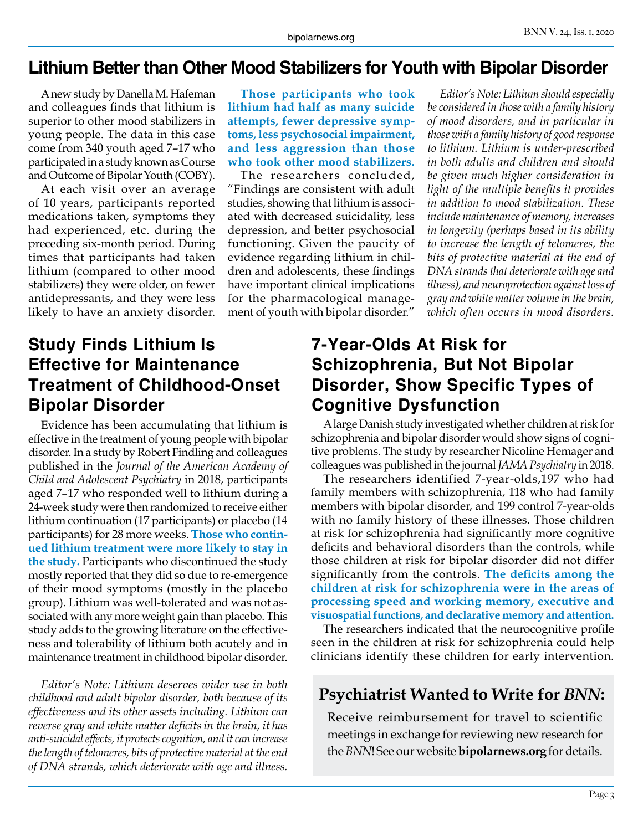#### **Lithium Better than Other Mood Stabilizers for Youth with Bipolar Disorder**

A new study by Danella M. Hafeman and colleagues finds that lithium is superior to other mood stabilizers in young people. The data in this case come from 340 youth aged 7–17 who participated in a study known as Course and Outcome of Bipolar Youth (COBY).

At each visit over an average of 10 years, participants reported medications taken, symptoms they had experienced, etc. during the preceding six-month period. During times that participants had taken lithium (compared to other mood stabilizers) they were older, on fewer antidepressants, and they were less likely to have an anxiety disorder.

**Those participants who took lithium had half as many suicide attempts, fewer depressive symptoms, less psychosocial impairment, and less aggression than those who took other mood stabilizers.**

The researchers concluded, "Findings are consistent with adult studies, showing that lithium is associated with decreased suicidality, less depression, and better psychosocial functioning. Given the paucity of evidence regarding lithium in children and adolescents, these findings have important clinical implications for the pharmacological management of youth with bipolar disorder."

## **Study Finds Lithium Is Effective for Maintenance Treatment of Childhood-Onset Bipolar Disorder**

Evidence has been accumulating that lithium is effective in the treatment of young people with bipolar disorder. In a study by Robert Findling and colleagues published in the *Journal of the American Academy of Child and Adolescent Psychiatry* in 2018, participants aged 7–17 who responded well to lithium during a 24-week study were then randomized to receive either lithium continuation (17 participants) or placebo (14 participants) for 28 more weeks. **Those who continued lithium treatment were more likely to stay in the study.** Participants who discontinued the study mostly reported that they did so due to re-emergence of their mood symptoms (mostly in the placebo group). Lithium was well-tolerated and was not associated with any more weight gain than placebo. This study adds to the growing literature on the effectiveness and tolerability of lithium both acutely and in maintenance treatment in childhood bipolar disorder.

*Editor's Note: Lithium deserves wider use in both childhood and adult bipolar disorder, both because of its effectiveness and its other assets including. Lithium can reverse gray and white matter deficits in the brain, it has anti-suicidal effects, it protects cognition, and it can increase the length of telomeres, bits of protective material at the end of DNA strands, which deteriorate with age and illness.*

## **7-Year-Olds At Risk for Schizophrenia, But Not Bipolar Disorder, Show Specific Types of Cognitive Dysfunction**

A large Danish study investigated whether children at risk for schizophrenia and bipolar disorder would show signs of cognitive problems. The study by researcher Nicoline Hemager and colleagues was published in the journal *JAMA Psychiatry* in 2018.

The researchers identified 7-year-olds,197 who had family members with schizophrenia, 118 who had family members with bipolar disorder, and 199 control 7-year-olds with no family history of these illnesses. Those children at risk for schizophrenia had significantly more cognitive deficits and behavioral disorders than the controls, while those children at risk for bipolar disorder did not differ significantly from the controls. **The deficits among the children at risk for schizophrenia were in the areas of processing speed and working memory, executive and visuospatial functions, and declarative memory and attention.**

The researchers indicated that the neurocognitive profile seen in the children at risk for schizophrenia could help clinicians identify these children for early intervention.

#### **Psychiatrist Wanted to Write for** *BNN***:**

Receive reimbursement for travel to scientific meetings in exchange for reviewing new research for the *BNN*! See our website **bipolarnews.org** for details.

*Editor's Note: Lithium should especially be considered in those with a family history of mood disorders, and in particular in those with a family history of good response to lithium. Lithium is under-prescribed in both adults and children and should be given much higher consideration in light of the multiple benefits it provides in addition to mood stabilization. These include maintenance of memory, increases in longevity (perhaps based in its ability to increase the length of telomeres, the bits of protective material at the end of DNA strands that deteriorate with age and illness), and neuroprotection against loss of gray and white matter volume in the brain, which often occurs in mood disorders.*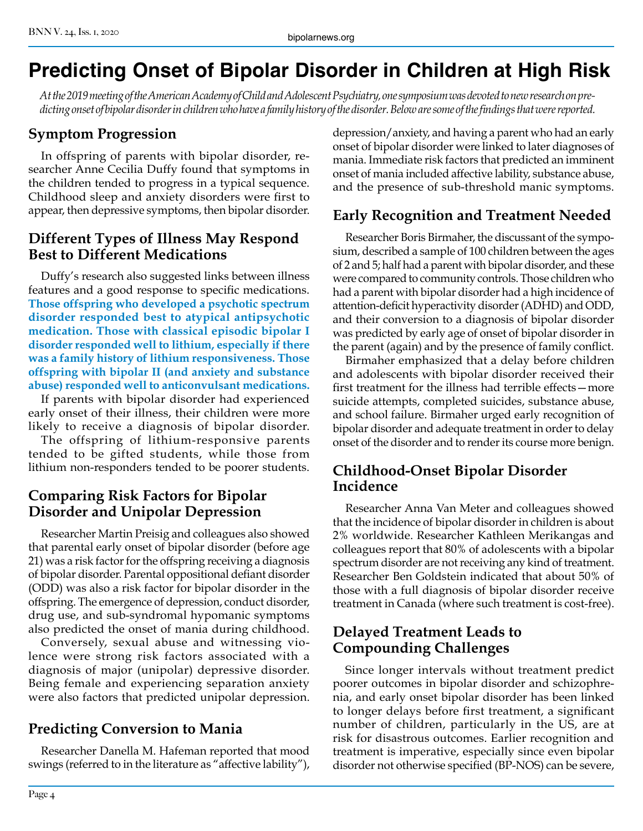## **Predicting Onset of Bipolar Disorder in Children at High Risk**

*At the 2019 meeting of the American Academy of Child and Adolescent Psychiatry, one symposium was devoted to new research on predicting onset of bipolar disorder in children who have a family history of the disorder. Below are some of the findings that were reported.*

#### **Symptom Progression**

In offspring of parents with bipolar disorder, researcher Anne Cecilia Duffy found that symptoms in the children tended to progress in a typical sequence. Childhood sleep and anxiety disorders were first to appear, then depressive symptoms, then bipolar disorder.

#### **Different Types of Illness May Respond Best to Different Medications**

Duffy's research also suggested links between illness features and a good response to specific medications. **Those offspring who developed a psychotic spectrum disorder responded best to atypical antipsychotic medication. Those with classical episodic bipolar I disorder responded well to lithium, especially if there was a family history of lithium responsiveness. Those offspring with bipolar II (and anxiety and substance abuse) responded well to anticonvulsant medications.** 

If parents with bipolar disorder had experienced early onset of their illness, their children were more likely to receive a diagnosis of bipolar disorder.

The offspring of lithium-responsive parents tended to be gifted students, while those from lithium non-responders tended to be poorer students.

#### **Comparing Risk Factors for Bipolar Disorder and Unipolar Depression**

Researcher Martin Preisig and colleagues also showed that parental early onset of bipolar disorder (before age 21) was a risk factor for the offspring receiving a diagnosis of bipolar disorder. Parental oppositional defiant disorder (ODD) was also a risk factor for bipolar disorder in the offspring. The emergence of depression, conduct disorder, drug use, and sub-syndromal hypomanic symptoms also predicted the onset of mania during childhood.

Conversely, sexual abuse and witnessing violence were strong risk factors associated with a diagnosis of major (unipolar) depressive disorder. Being female and experiencing separation anxiety were also factors that predicted unipolar depression.

#### **Predicting Conversion to Mania**

Researcher Danella M. Hafeman reported that mood swings (referred to in the literature as "affective lability"), depression/anxiety, and having a parent who had an early onset of bipolar disorder were linked to later diagnoses of mania. Immediate risk factors that predicted an imminent onset of mania included affective lability, substance abuse, and the presence of sub-threshold manic symptoms.

#### **Early Recognition and Treatment Needed**

Researcher Boris Birmaher, the discussant of the symposium, described a sample of 100 children between the ages of 2 and 5; half had a parent with bipolar disorder, and these were compared to community controls. Those children who had a parent with bipolar disorder had a high incidence of attention-deficit hyperactivity disorder (ADHD) and ODD, and their conversion to a diagnosis of bipolar disorder was predicted by early age of onset of bipolar disorder in the parent (again) and by the presence of family conflict.

Birmaher emphasized that a delay before children and adolescents with bipolar disorder received their first treatment for the illness had terrible effects—more suicide attempts, completed suicides, substance abuse, and school failure. Birmaher urged early recognition of bipolar disorder and adequate treatment in order to delay onset of the disorder and to render its course more benign.

#### **Childhood-Onset Bipolar Disorder Incidence**

Researcher Anna Van Meter and colleagues showed that the incidence of bipolar disorder in children is about 2% worldwide. Researcher Kathleen Merikangas and colleagues report that 80% of adolescents with a bipolar spectrum disorder are not receiving any kind of treatment. Researcher Ben Goldstein indicated that about 50% of those with a full diagnosis of bipolar disorder receive treatment in Canada (where such treatment is cost-free).

#### **Delayed Treatment Leads to Compounding Challenges**

Since longer intervals without treatment predict poorer outcomes in bipolar disorder and schizophrenia, and early onset bipolar disorder has been linked to longer delays before first treatment, a significant number of children, particularly in the US, are at risk for disastrous outcomes. Earlier recognition and treatment is imperative, especially since even bipolar disorder not otherwise specified (BP-NOS) can be severe,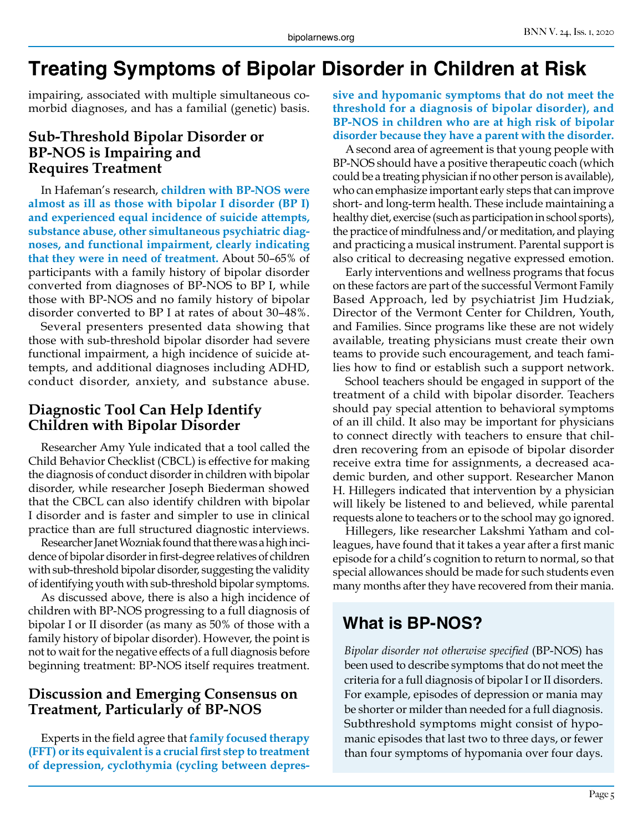## **Treating Symptoms of Bipolar Disorder in Children at Risk**

impairing, associated with multiple simultaneous comorbid diagnoses, and has a familial (genetic) basis.

#### **Sub-Threshold Bipolar Disorder or BP-NOS is Impairing and Requires Treatment**

In Hafeman's research, **children with BP-NOS were almost as ill as those with bipolar I disorder (BP I) and experienced equal incidence of suicide attempts, substance abuse, other simultaneous psychiatric diagnoses, and functional impairment, clearly indicating that they were in need of treatment.** About 50–65% of participants with a family history of bipolar disorder converted from diagnoses of BP-NOS to BP I, while those with BP-NOS and no family history of bipolar disorder converted to BP I at rates of about 30–48%.

Several presenters presented data showing that those with sub-threshold bipolar disorder had severe functional impairment, a high incidence of suicide attempts, and additional diagnoses including ADHD, conduct disorder, anxiety, and substance abuse.

#### **Diagnostic Tool Can Help Identify Children with Bipolar Disorder**

Researcher Amy Yule indicated that a tool called the Child Behavior Checklist (CBCL) is effective for making the diagnosis of conduct disorder in children with bipolar disorder, while researcher Joseph Biederman showed that the CBCL can also identify children with bipolar I disorder and is faster and simpler to use in clinical practice than are full structured diagnostic interviews.

Researcher Janet Wozniak found that there was a high incidence of bipolar disorder in first-degree relatives of children with sub-threshold bipolar disorder, suggesting the validity of identifying youth with sub-threshold bipolar symptoms.

As discussed above, there is also a high incidence of children with BP-NOS progressing to a full diagnosis of bipolar I or II disorder (as many as 50% of those with a family history of bipolar disorder). However, the point is not to wait for the negative effects of a full diagnosis before beginning treatment: BP-NOS itself requires treatment.

#### **Discussion and Emerging Consensus on Treatment, Particularly of BP-NOS**

Experts in the field agree that **family focused therapy (FFT) or its equivalent is a crucial first step to treatment of depression, cyclothymia (cycling between depres-** **sive and hypomanic symptoms that do not meet the threshold for a diagnosis of bipolar disorder), and BP-NOS in children who are at high risk of bipolar disorder because they have a parent with the disorder.**

A second area of agreement is that young people with BP-NOS should have a positive therapeutic coach (which could be a treating physician if no other person is available), who can emphasize important early steps that can improve short- and long-term health. These include maintaining a healthy diet, exercise (such as participation in school sports), the practice of mindfulness and/or meditation, and playing and practicing a musical instrument. Parental support is also critical to decreasing negative expressed emotion.

Early interventions and wellness programs that focus on these factors are part of the successful Vermont Family Based Approach, led by psychiatrist Jim Hudziak, Director of the Vermont Center for Children, Youth, and Families. Since programs like these are not widely available, treating physicians must create their own teams to provide such encouragement, and teach families how to find or establish such a support network.

School teachers should be engaged in support of the treatment of a child with bipolar disorder. Teachers should pay special attention to behavioral symptoms of an ill child. It also may be important for physicians to connect directly with teachers to ensure that children recovering from an episode of bipolar disorder receive extra time for assignments, a decreased academic burden, and other support. Researcher Manon H. Hillegers indicated that intervention by a physician will likely be listened to and believed, while parental requests alone to teachers or to the school may go ignored.

Hillegers, like researcher Lakshmi Yatham and colleagues, have found that it takes a year after a first manic episode for a child's cognition to return to normal, so that special allowances should be made for such students even many months after they have recovered from their mania.

## **What is BP-NOS?**

*Bipolar disorder not otherwise specified* (BP-NOS) has been used to describe symptoms that do not meet the criteria for a full diagnosis of bipolar I or II disorders. For example, episodes of depression or mania may be shorter or milder than needed for a full diagnosis. Subthreshold symptoms might consist of hypomanic episodes that last two to three days, or fewer than four symptoms of hypomania over four days.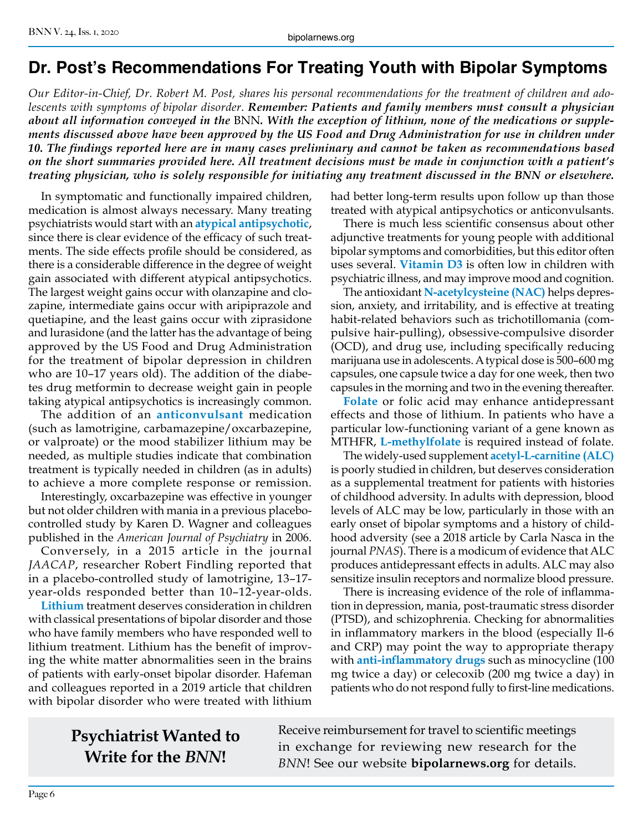## **Dr. Post's Recommendations For Treating Youth with Bipolar Symptoms**

*Our Editor-in-Chief, Dr. Robert M. Post, shares his personal recommendations for the treatment of children and adolescents with symptoms of bipolar disorder. Remember: Patients and family members must consult a physician about all information conveyed in the* BNN*. With the exception of lithium, none of the medications or supplements discussed above have been approved by the US Food and Drug Administration for use in children under 10. The findings reported here are in many cases preliminary and cannot be taken as recommendations based on the short summaries provided here. All treatment decisions must be made in conjunction with a patient's treating physician, who is solely responsible for initiating any treatment discussed in the BNN or elsewhere.*

In symptomatic and functionally impaired children, medication is almost always necessary. Many treating psychiatrists would start with an **atypical antipsychotic**, since there is clear evidence of the efficacy of such treatments. The side effects profile should be considered, as there is a considerable difference in the degree of weight gain associated with different atypical antipsychotics. The largest weight gains occur with olanzapine and clozapine, intermediate gains occur with aripiprazole and quetiapine, and the least gains occur with ziprasidone and lurasidone (and the latter has the advantage of being approved by the US Food and Drug Administration for the treatment of bipolar depression in children who are 10–17 years old). The addition of the diabetes drug metformin to decrease weight gain in people taking atypical antipsychotics is increasingly common.

The addition of an **anticonvulsant** medication (such as lamotrigine, carbamazepine/oxcarbazepine, or valproate) or the mood stabilizer lithium may be needed, as multiple studies indicate that combination treatment is typically needed in children (as in adults) to achieve a more complete response or remission.

Interestingly, oxcarbazepine was effective in younger but not older children with mania in a previous placebocontrolled study by Karen D. Wagner and colleagues published in the *American Journal of Psychiatry* in 2006.

Conversely, in a 2015 article in the journal *JAACAP*, researcher Robert Findling reported that in a placebo-controlled study of lamotrigine, 13–17 year-olds responded better than 10–12-year-olds.

**Lithium** treatment deserves consideration in children with classical presentations of bipolar disorder and those who have family members who have responded well to lithium treatment. Lithium has the benefit of improving the white matter abnormalities seen in the brains of patients with early-onset bipolar disorder. Hafeman and colleagues reported in a 2019 article that children with bipolar disorder who were treated with lithium

had better long-term results upon follow up than those treated with atypical antipsychotics or anticonvulsants.

There is much less scientific consensus about other adjunctive treatments for young people with additional bipolar symptoms and comorbidities, but this editor often uses several. **Vitamin D3** is often low in children with psychiatric illness, and may improve mood and cognition.

The antioxidant **N-acetylcysteine (NAC)** helps depression, anxiety, and irritability, and is effective at treating habit-related behaviors such as trichotillomania (compulsive hair-pulling), obsessive-compulsive disorder (OCD), and drug use, including specifically reducing marijuana use in adolescents. A typical dose is 500–600 mg capsules, one capsule twice a day for one week, then two capsules in the morning and two in the evening thereafter.

**Folate** or folic acid may enhance antidepressant effects and those of lithium. In patients who have a particular low-functioning variant of a gene known as MTHFR, **L-methylfolate** is required instead of folate.

The widely-used supplement **acetyl-L-carnitine (ALC)**  is poorly studied in children, but deserves consideration as a supplemental treatment for patients with histories of childhood adversity. In adults with depression, blood levels of ALC may be low, particularly in those with an early onset of bipolar symptoms and a history of childhood adversity (see a 2018 article by Carla Nasca in the journal *PNAS*). There is a modicum of evidence that ALC produces antidepressant effects in adults. ALC may also sensitize insulin receptors and normalize blood pressure.

There is increasing evidence of the role of inflammation in depression, mania, post-traumatic stress disorder (PTSD), and schizophrenia. Checking for abnormalities in inflammatory markers in the blood (especially Il-6 and CRP) may point the way to appropriate therapy with **anti-inflammatory drugs** such as minocycline (100 mg twice a day) or celecoxib (200 mg twice a day) in patients who do not respond fully to first-line medications.

## **Psychiatrist Wanted to Write for the** *BNN***!**

Receive reimbursement for travel to scientific meetings in exchange for reviewing new research for the *BNN*! See our website **bipolarnews.org** for details.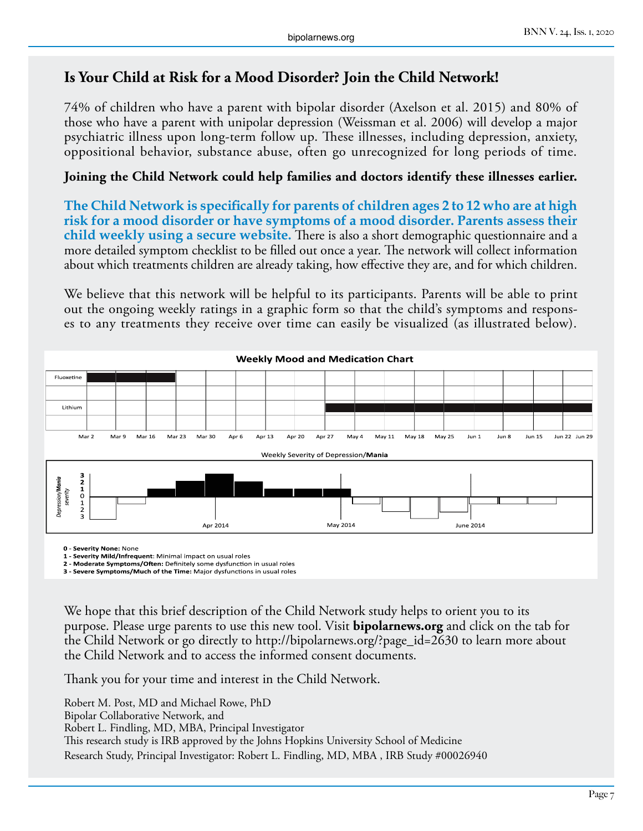#### **Is Your Child at Risk for a Mood Disorder? Join the Child Network!**

74% of children who have a parent with bipolar disorder (Axelson et al. 2015) and 80% of those who have a parent with unipolar depression (Weissman et al. 2006) will develop a major psychiatric illness upon long-term follow up. These illnesses, including depression, anxiety, oppositional behavior, substance abuse, often go unrecognized for long periods of time.

#### **Joining the Child Network could help families and doctors identify these illnesses earlier.**

**The Child Network is specifically for parents of children ages 2 to 12 who are at high risk for a mood disorder or have symptoms of a mood disorder. Parents assess their child weekly using a secure website.** There is also a short demographic questionnaire and a more detailed symptom checklist to be filled out once a year. The network will collect information about which treatments children are already taking, how effective they are, and for which children.

We believe that this network will be helpful to its participants. Parents will be able to print out the ongoing weekly ratings in a graphic form so that the child's symptoms and responses to any treatments they receive over time can easily be visualized (as illustrated below).



**0 - Severity None:** None

**1 - Severity Mild/Infrequent**: Minimal impact on usual roles

**2 - Moderate Symptoms/Often:** Definitely some dysfunction in usual roles **3 - Severe Symptoms/Much of the Time:** Major dysfunctions in usual roles

We hope that this brief description of the Child Network study helps to orient you to its purpose. Please urge parents to use this new tool. Visit **bipolarnews.org** and click on the tab for the Child Network or go directly to http://bipolarnews.org/?page\_id=2630 to learn more about the Child Network and to access the informed consent documents.

Thank you for your time and interest in the Child Network.

Robert M. Post, MD and Michael Rowe, PhD Bipolar Collaborative Network, and Robert L. Findling, MD, MBA, Principal Investigator This research study is IRB approved by the Johns Hopkins University School of Medicine Research Study, Principal Investigator: Robert L. Findling, MD, MBA , IRB Study #00026940